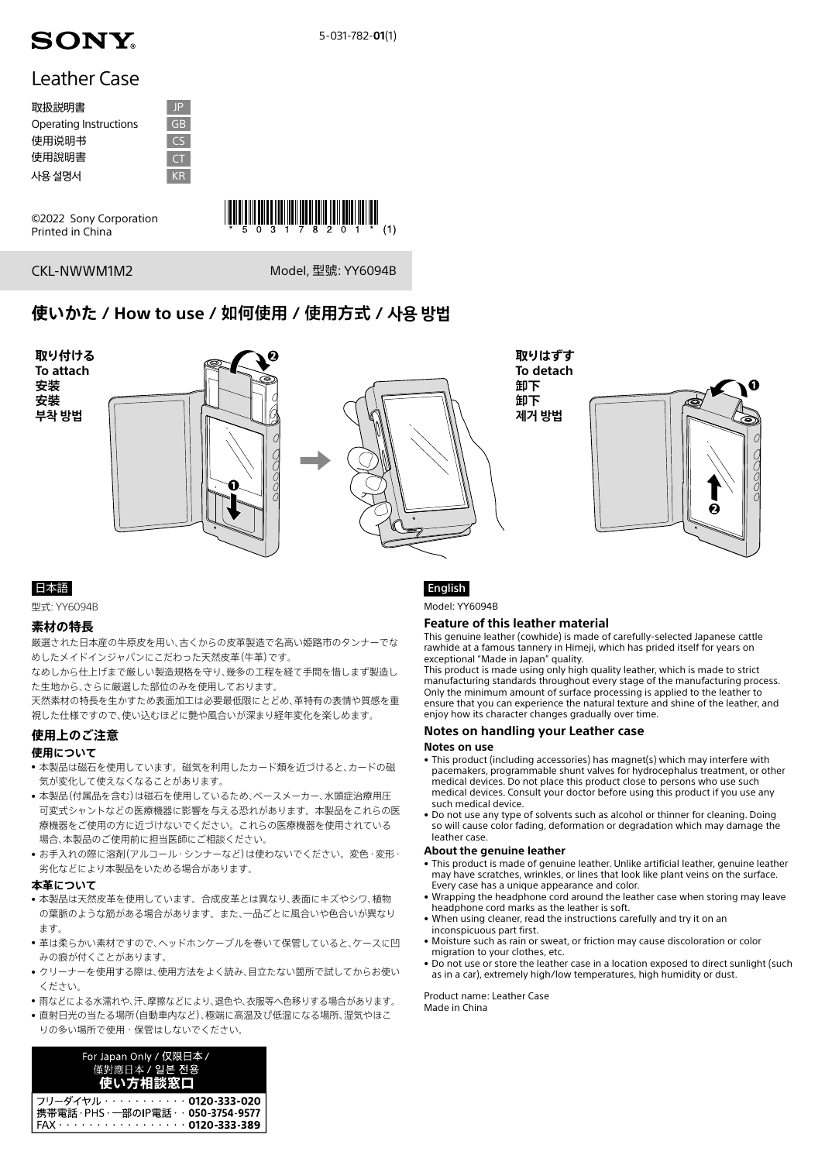

# Leather Case

| 取扱説明書                  | P             |
|------------------------|---------------|
| Operating Instructions | GB            |
| 使用说明书                  | $\mathcal{C}$ |
| 使用說明書                  | $\subset$     |
| 사용 설명서                 | KR            |

©2022 Sony Corporation Printed in China



CKL-NWWM1M2

Model, 型號: YY6094B

# **使いかた / How to use / 如何使用 / 使用方式 / 사용 방법**



# 日本語

型式: YY6094B

#### **素材の特長**

厳選された日本産の牛原皮を用い、古くからの皮革製造で名高い姫路市のタンナーでな めしたメイドインジャパンにこだわった天然皮革(牛革)です。

なめしから仕上げまで厳しい製造規格を守り、幾多の工程を経て手間を惜しまず製造し た生地から、さらに厳選した部位のみを使用しております。

天然素材の特長を生かすため表面加工は必要最低限にとどめ、革特有の表情や質感を重 視した仕様ですので、使い込むほどに艶や風合いが深まり経年変化を楽しめます。

## **使用上のご注意**

#### **使用について**

- 本製品は磁石を使用しています。磁気を利用したカード類を近づけると、カードの磁 気が変化して使えなくなることがあります。
- 本製品(付属品を含む)は磁石を使用しているため、ペースメーカー、水頭症治療用圧 可変式シャントなどの医療機器に影響を与える恐れがあります。本製品をこれらの医 療機器をご使用の方に近づけないでください。これらの医療機器を使用されている 場合、本製品のご使用前に担当医師にご相談ください。
- お手入れの際に溶剤(アルコール・シンナーなど)は使わないでください。変色・変形・ 劣化などにより本製品をいためる場合があります。

#### **本革について**

- 本製品は天然皮革を使用しています。合成皮革とは異なり、表面にキズやシワ、植物 の葉脈のような筋がある場合があります。また、一品ごとに風合いや色合いが異なり ます.
- 革は柔らかい素材ですので、ヘッドホンケーブルを巻いて保管していると、ケースに凹 みの痕が付くことがあります。
- クリーナーを使用する際は、使用方法をよく読み、目立たない箇所で試してからお使い ください。
- 雨などによる水濡れや、汗、摩擦などにより、退色や、衣服等へ色移りする場合があります。
- 直射日光の当たる場所(自動車内など)、極端に高温及び低温になる場所、湿気やほこ りの多い場所で使用・保管はしないでください。

| For Japan Only / 仅限日本 /<br>僅對應日本 / 일본 전용<br>使い方相談窓口                                                                                   |
|---------------------------------------------------------------------------------------------------------------------------------------|
| フリーダイヤル・・・・・・・・・・0120-333-020<br> 携帯電話 ・PHS ・―部のIP電話 ・ ・ <b>050-3754-9577</b><br>FAX · · · · · · · · · · · · · · · · · · 0120-333-389 |

# English

Model: YY6094B

#### **Feature of this leather material**

This genuine leather (cowhide) is made of carefully-selected Japanese cattle rawhide at a famous tannery in Himeji, which has prided itself for years on exceptional "Made in Japan" quality.

This product is made using only high quality leather, which is made to strict manufacturing standards throughout every stage of the manufacturing process. Only the minimum amount of surface processing is applied to the leather to ensure that you can experience the natural texture and shine of the leather, and enjoy how its character changes gradually over time.

#### **Notes on handling your Leather case**

#### **Notes on use**

- This product (including accessories) has magnet(s) which may interfere with pacemakers, programmable shunt valves for hydrocephalus treatment, or other medical devices. Do not place this product close to persons who use such medical devices. Consult your doctor before using this product if you use any such medical device.
- Do not use any type of solvents such as alcohol or thinner for cleaning. Doing so will cause color fading, deformation or degradation which may damage the leather case.

#### **About the genuine leather**

- This product is made of genuine leather. Unlike artificial leather, genuine leather may have scratches, wrinkles, or lines that look like plant veins on the surface. Every case has a unique appearance and color.
- Wrapping the headphone cord around the leather case when storing may leave headphone cord marks as the leather is soft.
- When using cleaner, read the instructions carefully and try it on an inconspicuous part first.
- Moisture such as rain or sweat, or friction may cause discoloration or color migration to your clothes, etc.
- Do not use or store the leather case in a location exposed to direct sunlight (such as in a car), extremely high/low temperatures, high humidity or dust.

Product name: Leather Case Made in China